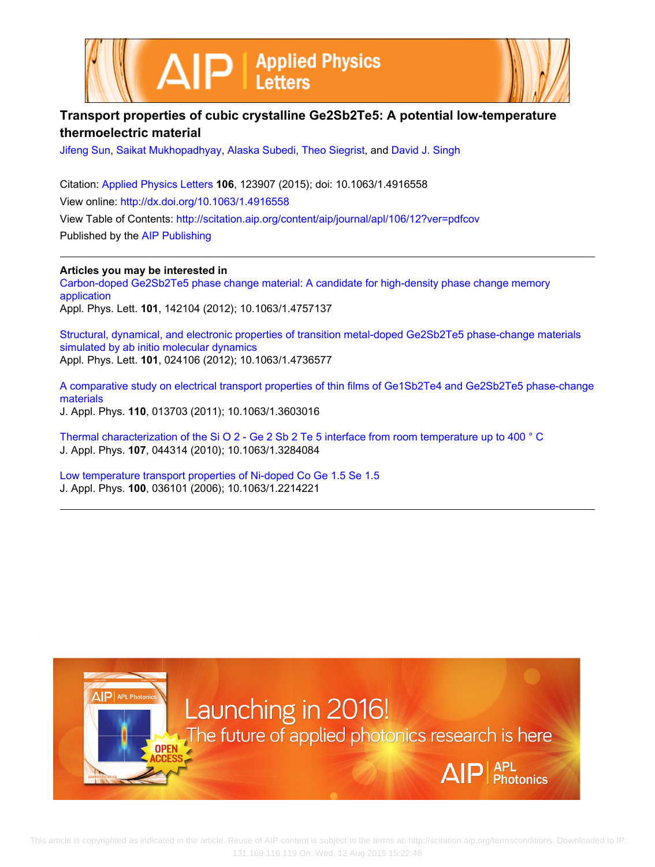



## **Transport properties of cubic crystalline Ge2Sb2Te5: A potential low-temperature thermoelectric material**

[Jifeng Sun](http://scitation.aip.org/search?value1=Jifeng+Sun&option1=author), [Saikat Mukhopadhyay](http://scitation.aip.org/search?value1=Saikat+Mukhopadhyay&option1=author), [Alaska Subedi,](http://scitation.aip.org/search?value1=Alaska+Subedi&option1=author) [Theo Siegrist,](http://scitation.aip.org/search?value1=Theo+Siegrist&option1=author) and [David J. Singh](http://scitation.aip.org/search?value1=David+J.+Singh&option1=author)

Citation: [Applied Physics Letters](http://scitation.aip.org/content/aip/journal/apl?ver=pdfcov) **106**, 123907 (2015); doi: 10.1063/1.4916558 View online: <http://dx.doi.org/10.1063/1.4916558> View Table of Contents: <http://scitation.aip.org/content/aip/journal/apl/106/12?ver=pdfcov> Published by the [AIP Publishing](http://scitation.aip.org/content/aip?ver=pdfcov)

**Articles you may be interested in**

[Carbon-doped Ge2Sb2Te5 phase change material: A candidate for high-density phase change memory](http://scitation.aip.org/content/aip/journal/apl/101/14/10.1063/1.4757137?ver=pdfcov) [application](http://scitation.aip.org/content/aip/journal/apl/101/14/10.1063/1.4757137?ver=pdfcov) Appl. Phys. Lett. **101**, 142104 (2012); 10.1063/1.4757137

[Structural, dynamical, and electronic properties of transition metal-doped Ge2Sb2Te5 phase-change materials](http://scitation.aip.org/content/aip/journal/apl/101/2/10.1063/1.4736577?ver=pdfcov) [simulated by ab initio molecular dynamics](http://scitation.aip.org/content/aip/journal/apl/101/2/10.1063/1.4736577?ver=pdfcov) Appl. Phys. Lett. **101**, 024106 (2012); 10.1063/1.4736577

[A comparative study on electrical transport properties of thin films of Ge1Sb2Te4 and Ge2Sb2Te5 phase-change](http://scitation.aip.org/content/aip/journal/jap/110/1/10.1063/1.3603016?ver=pdfcov) [materials](http://scitation.aip.org/content/aip/journal/jap/110/1/10.1063/1.3603016?ver=pdfcov) J. Appl. Phys. **110**, 013703 (2011); 10.1063/1.3603016

[Thermal characterization of the Si O 2 - Ge 2 Sb 2 Te 5 interface from room temperature up to 400 ° C](http://scitation.aip.org/content/aip/journal/jap/107/4/10.1063/1.3284084?ver=pdfcov) J. Appl. Phys. **107**, 044314 (2010); 10.1063/1.3284084

[Low temperature transport properties of Ni-doped Co Ge 1.5 Se 1.5](http://scitation.aip.org/content/aip/journal/jap/100/3/10.1063/1.2214221?ver=pdfcov) J. Appl. Phys. **100**, 036101 (2006); 10.1063/1.2214221



 This article is copyrighted as indicated in the article. Reuse of AIP content is subject to the terms at: http://scitation.aip.org/termsconditions. Downloaded to IP: 131.169.116.119 On: Wed, 12 Aug 2015 15:22:46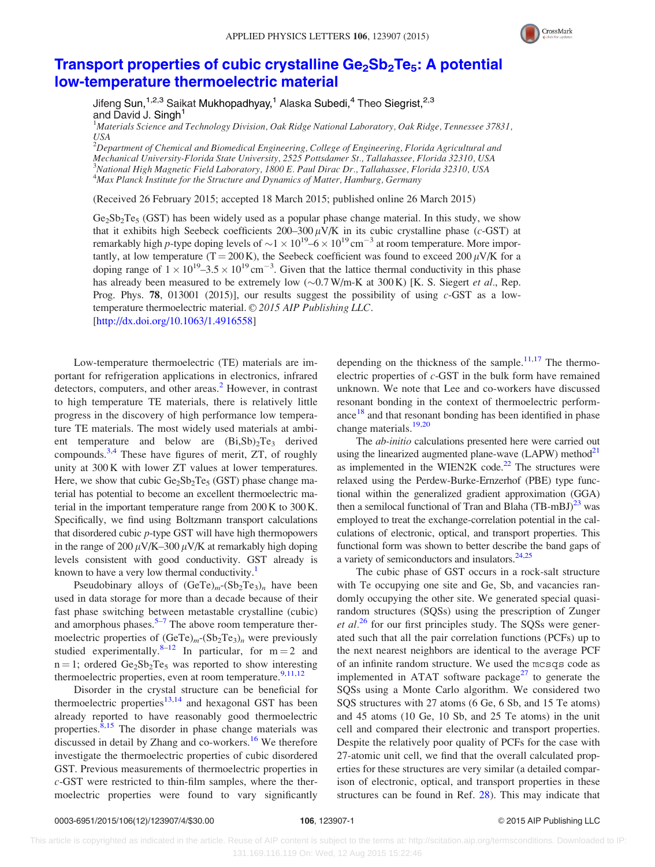

## Transport properties of cubic crystalline  $\text{Ge}_2\text{Sb}_2\text{Te}_5$ : A potential [low-temperature thermoelectric material](http://dx.doi.org/10.1063/1.4916558)

Jifeng Sun, <sup>1,2,3</sup> Saikat Mukhopadhyay, <sup>1</sup> Alaska Subedi, <sup>4</sup> Theo Siegrist, <sup>2,3</sup> and David J. Singh<sup>1</sup>

<sup>1</sup>Materials Science and Technology Division, Oak Ridge National Laboratory, Oak Ridge, Tennessee 37831, USA

 $^{2}$ Department of Chemical and Biomedical Engineering, College of Engineering, Florida Agricultural and Mechanical University-Florida State University, 2525 Pottsdamer St., Tallahassee, Florida 32310, USA <sup>3</sup>National High Magnetic Field Laboratory, 1800 E. Paul Dirac Dr., Tallahassee, Florida 32310, USA <sup>4</sup>Max Planck Institute for the Structure and Dynamics of Matter, Hamburg, Germany

(Received 26 February 2015; accepted 18 March 2015; published online 26 March 2015)

 $Ge_2Sb_2Te_5$  (GST) has been widely used as a popular phase change material. In this study, we show that it exhibits high Seebeck coefficients 200–300  $\mu$ V/K in its cubic crystalline phase (c-GST) at remarkably high p-type doping levels of  $\sim$ 1  $\times$  10<sup>19</sup>–6  $\times$  10<sup>19</sup> cm<sup>-3</sup> at room temperature. More importantly, at low temperature (T = 200 K), the Seebeck coefficient was found to exceed 200  $\mu$ V/K for a doping range of  $1 \times 10^{19}$ –3.5  $\times 10^{19}$  cm<sup>-3</sup>. Given that the lattice thermal conductivity in this phase has already been measured to be extremely low  $(\sim 0.7 \text{ W/m-K at } 300 \text{ K})$  [K. S. Siegert *et al.*, Rep. Prog. Phys. 78, 013001 (2015)], our results suggest the possibility of using  $c$ -GST as a lowtemperature thermoelectric material.  $\odot$  2015 AIP Publishing LLC. [\[http://dx.doi.org/10.1063/1.4916558](http://dx.doi.org/10.1063/1.4916558)]

Low-temperature thermoelectric (TE) materials are important for refrigeration applications in electronics, infrared detectors, computers, and other areas.<sup>[2](#page-3-0)</sup> However, in contrast to high temperature TE materials, there is relatively little progress in the discovery of high performance low temperature TE materials. The most widely used materials at ambient temperature and below are  $(Bi, Sb)<sub>2</sub>Te<sub>3</sub>$  derived compounds.[3,4](#page-3-0) These have figures of merit, ZT, of roughly unity at 300 K with lower ZT values at lower temperatures. Here, we show that cubic  $Ge_2Sb_2Te_5$  (GST) phase change material has potential to become an excellent thermoelectric material in the important temperature range from 200 K to 300 K. Specifically, we find using Boltzmann transport calculations that disordered cubic p-type GST will have high thermopowers in the range of 200  $\mu$ V/K–300  $\mu$ V/K at remarkably high doping levels consistent with good conductivity. GST already is known to have a very low thermal conductivity.<sup>1</sup>

Pseudobinary alloys of  $(GeTe)<sub>m</sub>-(Sb<sub>2</sub>Te<sub>3</sub>)<sub>n</sub>$  have been used in data storage for more than a decade because of their fast phase switching between metastable crystalline (cubic) and amorphous phases. $5-7$  $5-7$  The above room temperature thermoelectric properties of  $(GeTe)<sub>m</sub>-(Sb<sub>2</sub>Te<sub>3</sub>)<sub>n</sub>$  were previously studied experimentally.<sup>[8](#page-4-0)–[12](#page-4-0)</sup> In particular, for  $m = 2$  and  $n = 1$ ; ordered Ge<sub>2</sub>Sb<sub>2</sub>Te<sub>5</sub> was reported to show interesting thermoelectric properties, even at room temperature.<sup>[9](#page-4-0),[11,12](#page-4-0)</sup>

Disorder in the crystal structure can be beneficial for thermoelectric properties $13,14$  and hexagonal GST has been already reported to have reasonably good thermoelectric properties. $8,15$  The disorder in phase change materials was discussed in detail by Zhang and co-workers.<sup>[16](#page-4-0)</sup> We therefore investigate the thermoelectric properties of cubic disordered GST. Previous measurements of thermoelectric properties in c-GST were restricted to thin-film samples, where the thermoelectric properties were found to vary significantly depending on the thickness of the sample. $11,17$  $11,17$  $11,17$  The thermoelectric properties of c-GST in the bulk form have remained unknown. We note that Lee and co-workers have discussed resonant bonding in the context of thermoelectric performance $18$  and that resonant bonding has been identified in phase change materials.<sup>[19,20](#page-4-0)</sup>

The ab-initio calculations presented here were carried out using the linearized augmented plane-wave  $(LAPW)$  method<sup>[21](#page-4-0)</sup> as implemented in the WIEN2K code. $22$  The structures were relaxed using the Perdew-Burke-Ernzerhof (PBE) type functional within the generalized gradient approximation (GGA) then a semilocal functional of Tran and Blaha  $(TB-mBJ)^{23}$  was employed to treat the exchange-correlation potential in the calculations of electronic, optical, and transport properties. This functional form was shown to better describe the band gaps of a variety of semiconductors and insulators. $24,25$ 

The cubic phase of GST occurs in a rock-salt structure with Te occupying one site and Ge, Sb, and vacancies randomly occupying the other site. We generated special quasirandom structures (SQSs) using the prescription of Zunger et  $al^{26}$  $al^{26}$  $al^{26}$  for our first principles study. The SQSs were generated such that all the pair correlation functions (PCFs) up to the next nearest neighbors are identical to the average PCF of an infinite random structure. We used the mcsqs code as implemented in ATAT software package $27$  to generate the SQSs using a Monte Carlo algorithm. We considered two SQS structures with 27 atoms (6 Ge, 6 Sb, and 15 Te atoms) and 45 atoms (10 Ge, 10 Sb, and 25 Te atoms) in the unit cell and compared their electronic and transport properties. Despite the relatively poor quality of PCFs for the case with 27-atomic unit cell, we find that the overall calculated properties for these structures are very similar (a detailed comparison of electronic, optical, and transport properties in these structures can be found in Ref. [28](#page-4-0)). This may indicate that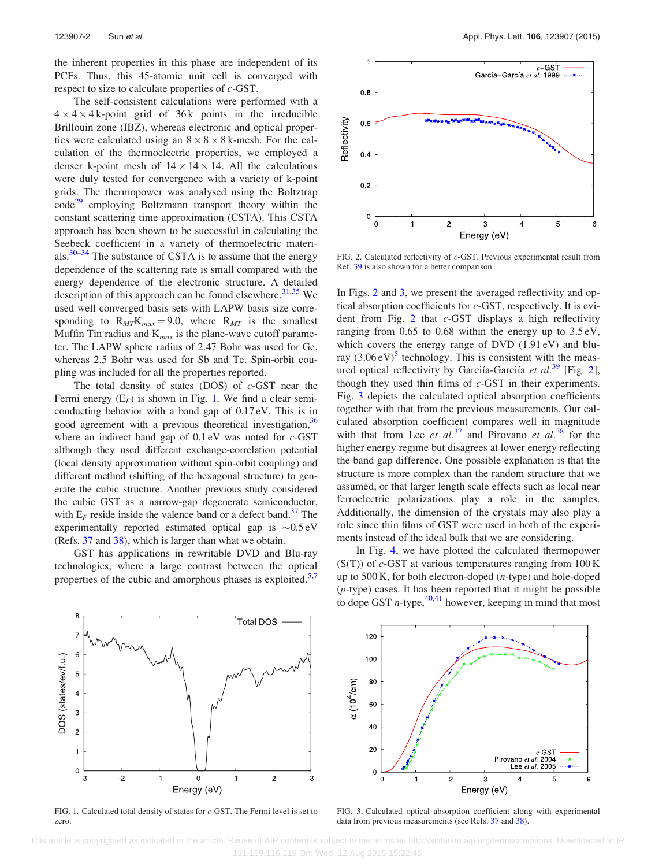the inherent properties in this phase are independent of its PCFs. Thus, this 45-atomic unit cell is converged with respect to size to calculate properties of  $c$ -GST.

The self-consistent calculations were performed with a  $4 \times 4 \times 4$  k-point grid of 36 k points in the irreducible Brillouin zone (IBZ), whereas electronic and optical properties were calculated using an  $8 \times 8 \times 8$  k-mesh. For the calculation of the thermoelectric properties, we employed a denser k-point mesh of  $14 \times 14 \times 14$ . All the calculations were duly tested for convergence with a variety of k-point grids. The thermopower was analysed using the Boltztrap  $code^{29}$  $code^{29}$  $code^{29}$  employing Boltzmann transport theory within the constant scattering time approximation (CSTA). This CSTA approach has been shown to be successful in calculating the Seebeck coefficient in a variety of thermoelectric materials. $30-34$  $30-34$  $30-34$  The substance of CSTA is to assume that the energy dependence of the scattering rate is small compared with the energy dependence of the electronic structure. A detailed description of this approach can be found elsewhere. $31,35$  We used well converged basis sets with LAPW basis size corresponding to  $R_{MT}K_{max} = 9.0$ , where  $R_{MT}$  is the smallest Muffin Tin radius and  $K_{max}$  is the plane-wave cutoff parameter. The LAPW sphere radius of 2.47 Bohr was used for Ge, whereas 2.5 Bohr was used for Sb and Te. Spin-orbit coupling was included for all the properties reported.

The total density of states (DOS) of  $c$ -GST near the Fermi energy  $(E_F)$  is shown in Fig. 1. We find a clear semiconducting behavior with a band gap of 0.17 eV. This is in good agreement with a previous theoretical investigation,<sup>[36](#page-4-0)</sup> where an indirect band gap of  $0.1 \text{ eV}$  was noted for  $c$ -GST although they used different exchange-correlation potential (local density approximation without spin-orbit coupling) and different method (shifting of the hexagonal structure) to generate the cubic structure. Another previous study considered the cubic GST as a narrow-gap degenerate semiconductor, with  $E_F$  reside inside the valence band or a defect band.<sup>[37](#page-4-0)</sup> The experimentally reported estimated optical gap is  $\sim 0.5 \text{ eV}$ (Refs. [37](#page-4-0) and [38\)](#page-4-0), which is larger than what we obtain.

GST has applications in rewritable DVD and Blu-ray technologies, where a large contrast between the optical properties of the cubic and amorphous phases is exploited. $5$ ,



FIG. 2. Calculated reflectivity of c-GST. Previous experimental result from Ref. [39](#page-4-0) is also shown for a better comparison.

In Figs. 2 and 3, we present the averaged reflectivity and optical absorption coefficients for c-GST, respectively. It is evident from Fig. 2 that c-GST displays a high reflectivity ranging from 0.65 to 0.68 within the energy up to 3.5 eV, which covers the energy range of DVD (1.91 eV) and bluray  $(3.06 \text{ eV})^5$  $(3.06 \text{ eV})^5$  technology. This is consistent with the meas-ured optical reflectivity by Garciía-Garciía et al.<sup>[39](#page-4-0)</sup> [Fig. 2], though they used thin films of  $c$ -GST in their experiments. Fig. 3 depicts the calculated optical absorption coefficients together with that from the previous measurements. Our calculated absorption coefficient compares well in magnitude with that from Lee et  $al.^{37}$  $al.^{37}$  $al.^{37}$  and Pirovano et  $al.^{38}$  $al.^{38}$  $al.^{38}$  for the higher energy regime but disagrees at lower energy reflecting the band gap difference. One possible explanation is that the structure is more complex than the random structure that we assumed, or that larger length scale effects such as local near ferroelectric polarizations play a role in the samples. Additionally, the dimension of the crystals may also play a role since thin films of GST were used in both of the experiments instead of the ideal bulk that we are considering.

In Fig. [4,](#page-3-0) we have plotted the calculated thermopower  $(S(T))$  of c-GST at various temperatures ranging from 100 K up to 500 K, for both electron-doped (n-type) and hole-doped  $(p$ -type) cases. It has been reported that it might be possible to dope GST *n*-type,  $40,41$  however, keeping in mind that most



FIG. 1. Calculated total density of states for c-GST. The Fermi level is set to zero.

FIG. 3. Calculated optical absorption coefficient along with experimental data from previous measurements (see Refs. [37](#page-4-0) and [38](#page-4-0)).

ĥ

 This article is copyrighted as indicated in the article. Reuse of AIP content is subject to the terms at: http://scitation.aip.org/termsconditions. Downloaded to IP: 131.169.116.119 On: Wed, 12 Aug 2015 15:22:46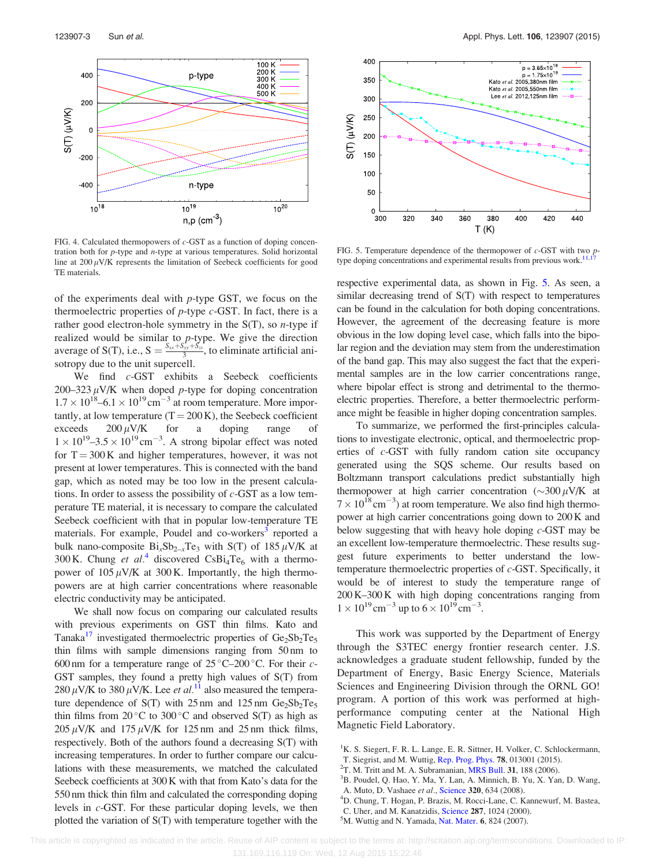<span id="page-3-0"></span>

FIG. 4. Calculated thermopowers of  $c$ -GST as a function of doping concentration both for  $p$ -type and  $n$ -type at various temperatures. Solid horizontal line at  $200 \mu$ V/K represents the limitation of Seebeck coefficients for good TE materials.

of the experiments deal with p-type GST, we focus on the thermoelectric properties of  $p$ -type  $c$ -GST. In fact, there is a rather good electron-hole symmetry in the  $S(T)$ , so *n*-type if realized would be similar to  $p$ -type. We give the direction average of S(T), i.e.,  $S = \frac{S_{xx} + S_{yy} + S_{zz}}{3}$ , to eliminate artificial anisotropy due to the unit supercell.

We find c-GST exhibits a Seebeck coefficients 200–323  $\mu$ V/K when doped p-type for doping concentration  $1.7 \times 10^{18}$ –6.1  $\times 10^{19}$  cm<sup>-3</sup> at room temperature. More importantly, at low temperature  $(T = 200 \text{ K})$ , the Seebeck coefficient exceeds  $200 \mu \text{V/K}$  for a doping range of  $1 \times 10^{19}$ –3.5  $\times 10^{19}$  cm<sup>-3</sup>. A strong bipolar effect was noted for  $T = 300$  K and higher temperatures, however, it was not present at lower temperatures. This is connected with the band gap, which as noted may be too low in the present calculations. In order to assess the possibility of  $c$ -GST as a low temperature TE material, it is necessary to compare the calculated Seebeck coefficient with that in popular low-temperature TE materials. For example, Poudel and co-workers<sup>3</sup> reported a bulk nano-composite  $Bi_xSb_{2-x}Te_3$  with S(T) of 185  $\mu$ V/K at 300 K. Chung et al.<sup>4</sup> discovered CsBi<sub>4</sub>Te<sub>6</sub> with a thermopower of  $105 \mu$ V/K at 300 K. Importantly, the high thermopowers are at high carrier concentrations where reasonable electric conductivity may be anticipated.

We shall now focus on comparing our calculated results with previous experiments on GST thin films. Kato and Tanaka<sup>17</sup> investigated thermoelectric properties of  $Ge_2Sb_2Te_5$ thin films with sample dimensions ranging from 50 nm to 600 nm for a temperature range of  $25^{\circ}$ C–200 °C. For their c-GST samples, they found a pretty high values of S(T) from 280  $\mu$ V/K to 380  $\mu$ V/K. Lee *et al.*<sup>[11](#page-4-0)</sup> also measured the temperature dependence of S(T) with  $25 \text{ nm}$  and  $125 \text{ nm}$  Ge<sub>2</sub>Sb<sub>2</sub>Te<sub>5</sub> thin films from  $20^{\circ}$ C to  $300^{\circ}$ C and observed S(T) as high as  $205 \mu$ V/K and 175  $\mu$ V/K for 125 nm and 25 nm thick films, respectively. Both of the authors found a decreasing S(T) with increasing temperatures. In order to further compare our calculations with these measurements, we matched the calculated Seebeck coefficients at 300 K with that from Kato's data for the 550 nm thick thin film and calculated the corresponding doping levels in  $c$ -GST. For these particular doping levels, we then plotted the variation of S(T) with temperature together with the



FIG. 5. Temperature dependence of the thermopower of  $c$ -GST with two *p*-type doping concentrations and experimental results from previous work.<sup>11,[17](#page-4-0)</sup>

respective experimental data, as shown in Fig. 5. As seen, a similar decreasing trend of S(T) with respect to temperatures can be found in the calculation for both doping concentrations. However, the agreement of the decreasing feature is more obvious in the low doping level case, which falls into the bipolar region and the deviation may stem from the underestimation of the band gap. This may also suggest the fact that the experimental samples are in the low carrier concentrations range, where bipolar effect is strong and detrimental to the thermoelectric properties. Therefore, a better thermoelectric performance might be feasible in higher doping concentration samples.

To summarize, we performed the first-principles calculations to investigate electronic, optical, and thermoelectric properties of c-GST with fully random cation site occupancy generated using the SQS scheme. Our results based on Boltzmann transport calculations predict substantially high thermopower at high carrier concentration  $(\sim 300 \,\mu\text{V/K})$  at  $7 \times 10^{18}$  cm<sup>-3</sup>) at room temperature. We also find high thermopower at high carrier concentrations going down to 200 K and below suggesting that with heavy hole doping c-GST may be an excellent low-temperature thermoelectric. These results suggest future experiments to better understand the lowtemperature thermoelectric properties of c-GST. Specifically, it would be of interest to study the temperature range of 200 K–300 K with high doping concentrations ranging from  $1 \times 10^{19}$  cm<sup>-3</sup> up to  $6 \times 10^{19}$  cm<sup>-3</sup>.

This work was supported by the Department of Energy through the S3TEC energy frontier research center. J.S. acknowledges a graduate student fellowship, funded by the Department of Energy, Basic Energy Science, Materials Sciences and Engineering Division through the ORNL GO! program. A portion of this work was performed at highperformance computing center at the National High Magnetic Field Laboratory.

- <sup>1</sup>K. S. Siegert, F. R. L. Lange, E. R. Sittner, H. Volker, C. Schlockermann,
- T. Siegrist, and M. Wuttig, [Rep. Prog. Phys.](http://dx.doi.org/10.1088/0034-4885/78/1/013001) <sup>78</sup>, 013001 (2015). <sup>2</sup>
- $2$ T. M. Tritt and M. A. Subramanian, [MRS Bull.](http://dx.doi.org/10.1557/mrs2006.44) 31, 188 (2006).
- $B^3B$ . Poudel, Q. Hao, Y. Ma, Y. Lan, A. Minnich, B. Yu, X. Yan, D. Wang,
- A. Muto, D. Vashaee et al., [Science](http://dx.doi.org/10.1126/science.1156446) 320, 634 (2008).

C. Uher, and M. Kanatzidis, [Science](http://dx.doi.org/10.1126/science.287.5455.1024) 287, 1024 (2000).  ${}^5$ M. Wuttig and N. Yamada, [Nat. Mater.](http://dx.doi.org/10.1038/nmat2009) 6, 824 (2007).

<sup>&</sup>lt;sup>4</sup>D. Chung, T. Hogan, P. Brazis, M. Rocci-Lane, C. Kannewurf, M. Bastea,